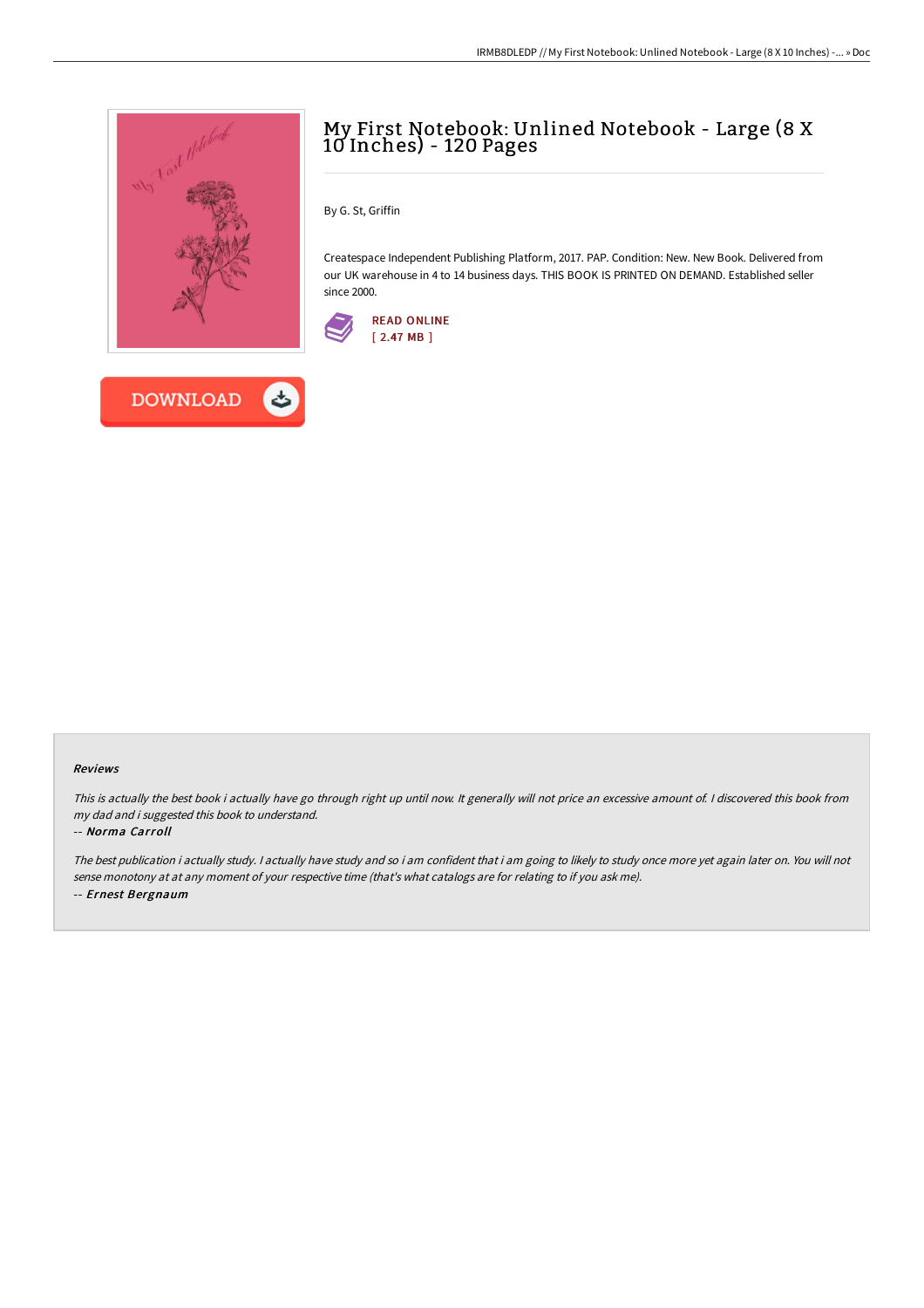

**DOWNLOAD** 

## My First Notebook: Unlined Notebook - Large (8 X 10 Inches) - 120 Pages

By G. St, Griffin

Createspace Independent Publishing Platform, 2017. PAP. Condition: New. New Book. Delivered from our UK warehouse in 4 to 14 business days. THIS BOOK IS PRINTED ON DEMAND. Established seller since 2000.



## Reviews

This is actually the best book i actually have go through right up until now. It generally will not price an excessive amount of. I discovered this book from my dad and i suggested this book to understand.

## -- Norma Carroll

The best publication i actually study. <sup>I</sup> actually have study and so i am confident that i am going to likely to study once more yet again later on. You will not sense monotony at at any moment of your respective time (that's what catalogs are for relating to if you ask me). -- Ernest Bergnaum